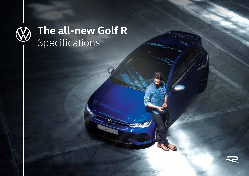

# **The all-new Golf R** Specifications

Golf a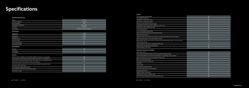$\overline{\mathscr{S}}$ 

# **Specifications**

### **Exterior**

| LED performance headlights and LED HIGH taillights with dynamic turning lights                                                                      |  |
|-----------------------------------------------------------------------------------------------------------------------------------------------------|--|
| Front fog light, cornering light and highway light integrated in main headlight unit                                                                |  |
| Light and Vision Package (windshield wiper intermittent control with light/rain sensor<br>and breakway interior rear view mirror with auto-dimming) |  |
| Door mirrors with memory function, power-folding, adjustable, separately heated<br>and exterior lowering function                                   |  |
| Chrome exhaust tailpipe, left and right                                                                                                             |  |
| Larger diameter brake discs and blue brake calipers                                                                                                 |  |
| Door mirrors in silver                                                                                                                              |  |

### **Technical Specification**

| Engine                   | 2.0L TSI                      |
|--------------------------|-------------------------------|
| Max power (KW/HP)        | 235/320                       |
| Max torque (NM)          | 400                           |
| Acceleration (0-100km/h) | 4.8 seconds                   |
| Drive type               | 4Motion                       |
| Transmission             | Dual Clutch 7-speed Automatic |

### **Dimensions**

| Length (mm)             | 4,290 |
|-------------------------|-------|
| Width (mm)              | 1,789 |
| Height (mm)             | 1,458 |
| Wheelbase (mm)          | 2,631 |
| Number of seats         |       |
| Trunk capacity (litres) | 341   |
| Tank capacity (litres)  | 55    |

### **Alloy Wheels**

| 18" Jerez    |  |
|--------------|--|
| 19" Estoril  |  |
| 19" Adelaide |  |

#### **Interior**

| 10" Touchscreen Discover Media                                                                                               | $\checkmark$         |  |
|------------------------------------------------------------------------------------------------------------------------------|----------------------|--|
| 10.25" Digital Cockpit Pro                                                                                                   | $\checkmark$         |  |
| 6 speakers, 4 in front and 2 in rear                                                                                         | $\checkmark$         |  |
| App-Connect wireless (excl. Qatar)                                                                                           | $\checkmark$         |  |
| Wireless induction pad for phone charging                                                                                    | $\checkmark$         |  |
| 2x USB Type-C ports in front and 2x USB Type-C ports in rear                                                                 | $\checkmark$         |  |
| Digital radio reception DAB+ (only UAE)                                                                                      | $\checkmark$         |  |
| 3-zone Climatronic AC                                                                                                        | $\checkmark$         |  |
| Active seat ventilation (front seats)                                                                                        | $\circ$              |  |
| Spoiler roof/sunroof with electric slide and tilt function                                                                   | $\circ$              |  |
| Floor mats, front and rear                                                                                                   | $\checkmark$         |  |
| Leather trimmed multi-function sport Tiptronic steering wheel with touch control, heated                                     | $\checkmark$         |  |
| Fabric top sports seats in front, black with blue accents                                                                    | $\checkmark$         |  |
| Nappa leather with top sports seats in front with 8-way powered driver seat incl. memory function,<br>black with red accents | $\circ$              |  |
| Lumbar support in front, power adjustable on driver seat                                                                     | $\circ$              |  |
| Keyless access with push-button start (Kessy)                                                                                | $\checkmark$         |  |
| Ambient lighting in 30 colours                                                                                               | $\checkmark$         |  |
| <b>Assistance Systems and Safety</b>                                                                                         |                      |  |
| Multi-collision brake                                                                                                        | $\checkmark$         |  |
| Driver and front passenger airbag with front passenger airbag deactivation                                                   | $\checkmark$         |  |
| Curtain airbag system for front and rear passengers incl. side airbags in front and rear                                     | $\checkmark$         |  |
| Blind spot detection with rear cross traffic alert "Side Assist"                                                             | $\checkmark$         |  |
| Rear view camera "Rear Assist"                                                                                               | $\blacktriangledown$ |  |
| Park distance control, front and rear                                                                                        | $\checkmark$         |  |
| Park Assist                                                                                                                  | $\circ$              |  |
| Cruise control                                                                                                               | $\checkmark$         |  |
| Tyre pressure monitoring system                                                                                              | $\checkmark$         |  |
| Driver alert system (rest recommendation)                                                                                    | $\checkmark$         |  |
| Driving profile selection                                                                                                    | $\checkmark$         |  |
| Adaptive chassis control (DCC)                                                                                               | $\circ$              |  |
| Emergency call system eCall (UAE only)                                                                                       | ⋖                    |  |

**Electromechanical parking brake with Auto Hold function**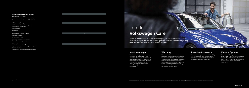#### **Safety Package (excl. Kuwait and KSA)**

Adaptive Cruise Control (ACC) Side airbag in front and rear with curtain airbag Proactive passenger protection with Front Assist

#### **Exhaust System Package**

R-performance Titanium exhaust system Akrapovič Silencers and tailpipe Throttle system adjustable via drive mode selection



 $\overline{O}$ 

#### **Infotainment Package**

10" Touchscreen Discover Pro navigation Harman Kardon sound system Head-up display Voice control

#### **Performance Package - Estoril**

Progressive steering 19" Estoril alloy wheels Drift mode via driving profile selection Rear spoiler in motorsport design

## Introducing **Volkswagen Care**

Peace of mind comes as standard when you join the Volkswagen family. Rest assured, you will always receive genuine care and transparent pricing from our network of authorised service centres.

## **Service Package**

Thanks to our comprehensive services, you can hit the road without a care. Our Genuine Service provides a range of services that are designed specifically for your Volkswagen. In the event of repairs, we only install Volkswagen Genuine Parts®: high-quality, safe and tailormade. So your journey is carefree and

comfortable.

For more information on service packages, warranty and extended warranty, roadside assistance coverage and finance options, please contact your authorised Volkswagen dealership.

We are focused on ensuring that you are happy with your Volkswagen and have less things to worry about as a new car owner. That's why when you buy a new Volkswagen from any of our authorised Volkswagen dealerships, we'll provide warranty cover to protect you against the repair costs of manufacturing and material defects within the specified warranty period.

No matter where you are or what time of day it is, we've got your back. In most cases, a breakdown can be resolved at the roadside, getting you safely back on your way.

Owning the Volkswagen of your dreams is easier than ever with our attractive finance options. High cost repairs won't wear you down anymore, as you can even choose to pay off your car service by paying in instalments.

## **Warranty Roadside Assistance Finance Options**